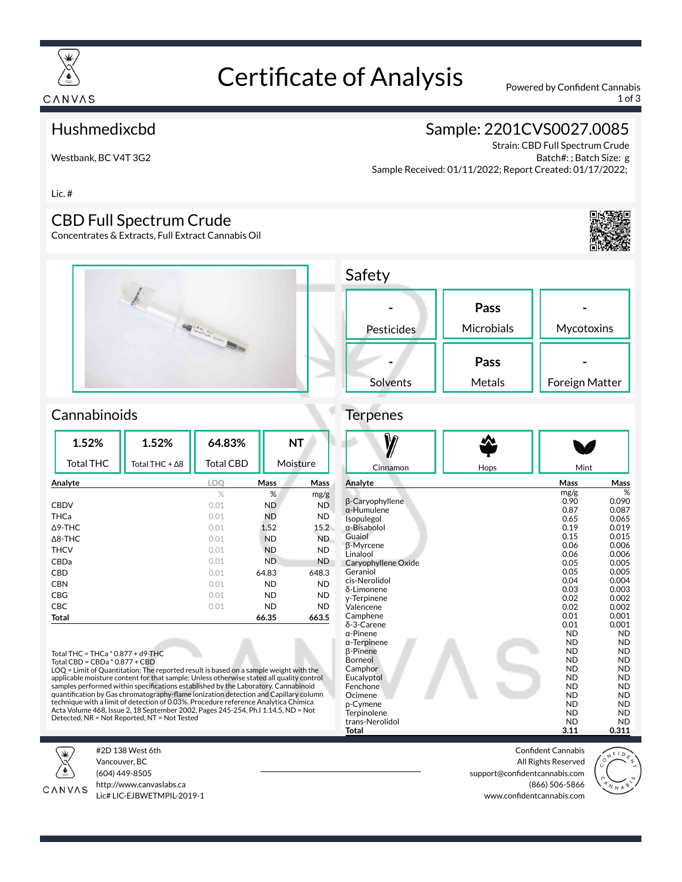

# Certificate of Analysis Powered by Confident Cannabis

1 of 3

#### Hushmedixcbd

Westbank, BC V4T 3G2

## Sample: 2201CVS0027.0085

Strain: CBD Full Spectrum Crude Batch#: ; Batch Size: g Sample Received: 01/11/2022; Report Created: 01/17/2022;

Lic. #

#### CBD Full Spectrum Crude

Concentrates & Extracts, Full Extract Cannabis Oil





#### **Cannabinoids**

| 1.52%             | 1.52%          | 64.83%           | <b>NT</b><br>Moisture |           |
|-------------------|----------------|------------------|-----------------------|-----------|
| <b>Total THC</b>  | Total THC + ∆8 | <b>Total CBD</b> |                       |           |
| Analyte           |                | LOO              | Mass                  | Mass      |
|                   |                | $\%$             | %                     | mg/g      |
| <b>CBDV</b>       |                | 0.01             | ND                    | <b>ND</b> |
| THCa              |                | 0.01             | ND                    | <b>ND</b> |
| $\Delta$ 9-THC    |                | 0.01             | 1.52                  | 15.2      |
| $\triangle$ 8-THC |                | 0.01             | <b>ND</b>             | ND.       |
| <b>THCV</b>       |                | 0.01             | <b>ND</b>             | <b>ND</b> |
| CBDa              |                | 0.01             | <b>ND</b>             | <b>ND</b> |
| CBD               |                | 0.01             | 64.83                 | 648.3     |
| <b>CBN</b>        |                | 0.01             | <b>ND</b>             | <b>ND</b> |
| CBG               |                | 0.01             | ND                    | <b>ND</b> |
| <b>CBC</b>        |                | 0.01             | <b>ND</b>             | <b>ND</b> |
| Total             |                |                  | 66.35                 | 663.5     |

Total THC = THCa \* 0.877 + d9-THC Total CBD = CBDa \* 0.877 + CBD

LOQ = Limit of Quantitation; The reported result is based on a sample weight with the applicable moisture content for that sample; Unless otherwise stated all quality control<br>samples performed within specifications established by the Laboratory. Cannabinoid<br>quantification by Gas chromatography-flame ionizat technique with a limit of detection of 0.03%. Procedure reference Analytica Chimica Acta Volume 468, Issue 2, 18 September 2002, Pages 245-254, Ph.I 1.14.5, ND = Not Detected, NR = Not Reported, NT = Not Tested



#2D 138 West 6th Vancouver, BC (604) 449-8505



http://www.canvaslabs.ca Lic# LIC-EJBWETMPIL-2019-1

| <b>Jaicty</b> |            |                |
|---------------|------------|----------------|
|               | Pass       |                |
| Pesticides    | Microbials | Mycotoxins     |
|               | Pass       |                |
| Solvents      | Metals     | Foreign Matter |

#### **Terpenes**

Safaty

| Cinnamon                       |      | Mint                   |                        |
|--------------------------------|------|------------------------|------------------------|
|                                | Hops |                        |                        |
| Analyte                        |      | Mass                   | Mass                   |
|                                |      | mg/g                   | %                      |
| β-Caryophyllene                |      | 0.90                   | 0.090                  |
| $\alpha$ -Humulene             |      | 0.87<br>0.65           | 0.087<br>0.065         |
| Isopulegol<br>α-Bisabolol      |      | 0.19                   | 0.019                  |
| Guaiol                         |      | 0.15                   | 0.015                  |
| <b>B-Myrcene</b>               |      | 0.06                   | 0.006                  |
| Linalool                       |      | 0.06                   | 0.006                  |
| Caryophyllene Oxide            |      | 0.05                   | 0.005                  |
| Geraniol                       |      | 0.05                   | 0.005                  |
| cis-Nerolidol                  |      | 0.04                   | 0.004                  |
| δ-Limonene                     |      | 0.03                   | 0.003                  |
| y-Terpinene                    |      | 0.02                   | 0.002                  |
| Valencene<br>Camphene          |      | 0.02<br>0.01           | 0.002<br>0.001         |
| δ-3-Carene                     |      | 0.01                   | 0.001                  |
| $\alpha$ -Pinene               |      | <b>ND</b>              | <b>ND</b>              |
| $\alpha$ -Terpinene            |      | <b>ND</b>              | <b>ND</b>              |
| <b>B-Pinene</b>                |      | <b>ND</b>              | <b>ND</b>              |
| Borneol                        |      | <b>ND</b>              | <b>ND</b>              |
| Camphor                        |      | <b>ND</b>              | <b>ND</b>              |
| Eucalyptol                     |      | <b>ND</b>              | <b>ND</b>              |
| Fenchone                       |      | <b>ND</b>              | <b>ND</b>              |
| Ocimene                        |      | <b>ND</b>              | <b>ND</b>              |
| p-Cymene                       |      | <b>ND</b><br><b>ND</b> | <b>ND</b>              |
| Terpinolene<br>trans-Nerolidol |      | <b>ND</b>              | <b>ND</b><br><b>ND</b> |
| Total                          |      | 3.11                   | 0.311                  |

Confident Cannabis All Rights Reserved support@confidentcannabis.com (866) 506-5866 www.confidentcannabis.com

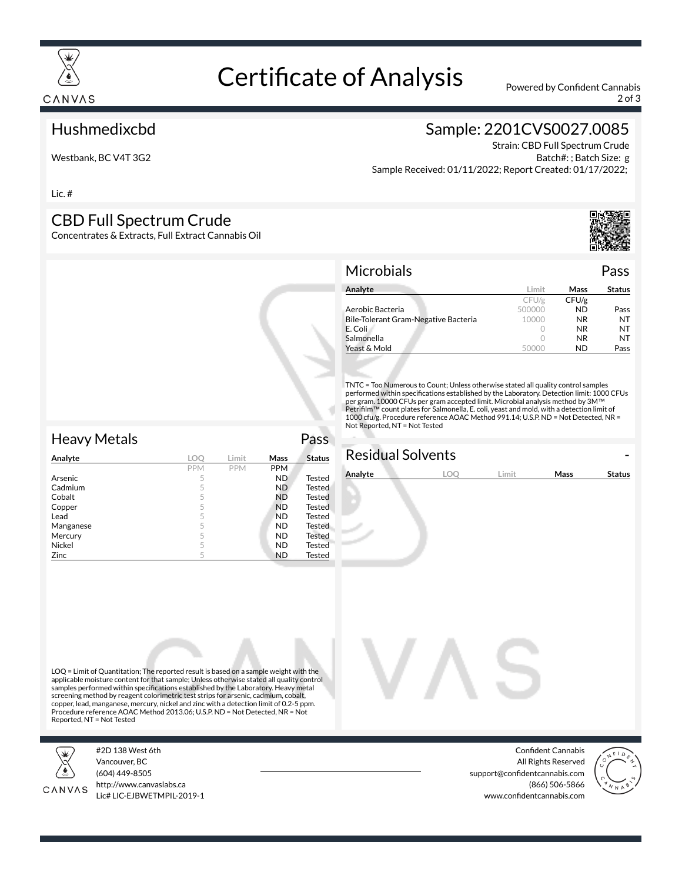

# Certificate of Analysis Powered by Confident Cannabis

2 of 3

#### Hushmedixcbd

Westbank, BC V4T 3G2

## Sample: 2201CVS0027.0085

Strain: CBD Full Spectrum Crude Batch#: ; Batch Size: g Sample Received: 01/11/2022; Report Created: 01/17/2022;

Lic. #

#### CBD Full Spectrum Crude

Concentrates & Extracts, Full Extract Cannabis Oil



#### Microbials Pass

| Analyte                              | l imit | Mass      | <b>Status</b> |
|--------------------------------------|--------|-----------|---------------|
|                                      | CFU/g  | CFU/g     |               |
| Aerobic Bacteria                     | 500000 | <b>ND</b> | Pass          |
| Bile-Tolerant Gram-Negative Bacteria | 10000  | NR.       | NT            |
| E. Coli                              |        | NR.       | NT            |
| Salmonella                           |        | <b>NR</b> | NT            |
| Yeast & Mold                         |        | ND        | Pass          |

TNTC = Too Numerous to Count; Unless otherwise stated all quality control samples performed within specifications established by the Laboratory. Detection limit: 1000 CFUs per gram. 10000 CFUs per gram accepted limit. Microbial analysis method by 3M™<br>Petrifilm™ count plates for Salmonella, E. coli, yeast and mold, with a detection limit of 1000 cfu/g. Procedure reference AOAC Method 991.14; U.S.P. ND = Not Detected, NR = Not Reported, NT = Not Tested

| <b>Heavy Metals</b> |            |            |            | Pass          |
|---------------------|------------|------------|------------|---------------|
| Analyte             | <b>LOO</b> | Limit      | Mass       | <b>Status</b> |
|                     | <b>PPM</b> | <b>PPM</b> | <b>PPM</b> |               |
| Arsenic             | 5          |            | <b>ND</b>  | <b>Tested</b> |
| Cadmium             | 5          |            | ND.        | <b>Tested</b> |
| Cobalt              | 5          |            | <b>ND</b>  | Tested        |
| Copper              | 5          |            | <b>ND</b>  | Tested        |
| Lead                | 5          |            | <b>ND</b>  | Tested        |
| Manganese           | 5          |            | <b>ND</b>  | Tested        |
| Mercury             | 5          |            | <b>ND</b>  | Tested        |
| Nickel              | 5          |            | <b>ND</b>  | <b>Tested</b> |
| Zinc                | 5          |            | ND         | Tested        |
|                     |            |            |            |               |

# **Residual Solvents**

| Analyte |  | imit. | Mass | <b>Status</b> |
|---------|--|-------|------|---------------|
|         |  |       |      |               |
|         |  |       |      |               |
|         |  |       |      |               |

LOQ = Limit of Quantitation; The reported result is based on a sample weight with the applicable moisture content for that sample; Unless otherwise stated all quality control<br>samples performed within specifications established by the Laboratory. Heavy metal screening method by reagent colorimetric test strips for arsenic, cadmium, cobalt, copper, lead, manganese, mercury, nickel and zinc with a detection limit of 0.2-5 ppm. Procedure reference AOAC Method 2013.06; U.S.P. ND = Not Detected, NR = Not Reported, NT = Not Tested



#2D 138 West 6th Vancouver, BC (604) 449-8505



http://www.canvaslabs.ca Lic# LIC-EJBWETMPIL-2019-1

Confident Cannabis All Rights Reserved support@confidentcannabis.com (866) 506-5866 www.confidentcannabis.com